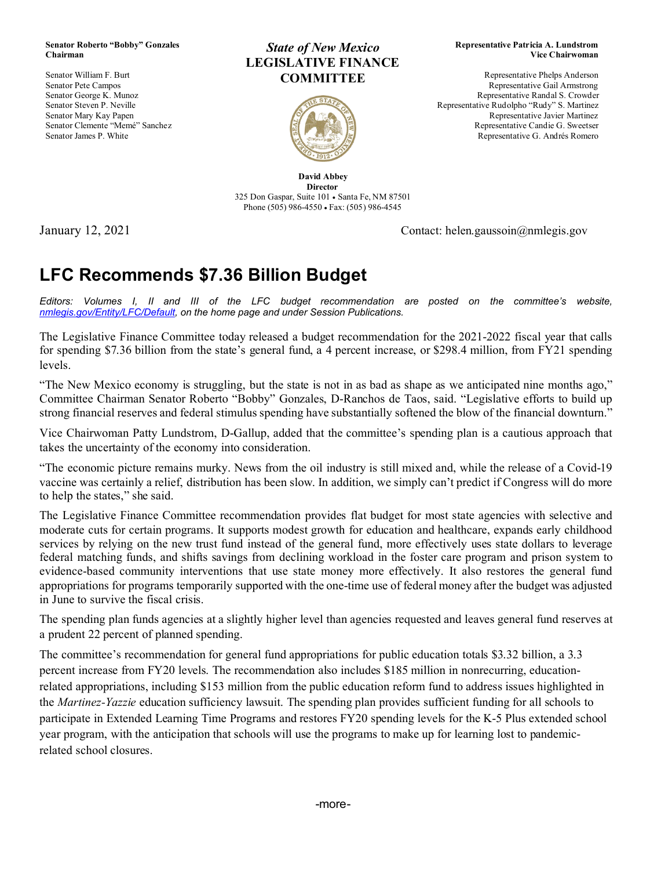#### **Senator Roberto "Bobby" Gonzales Chairman**

Senator William F. Burt Senator Pete Campos Senator George K. Munoz Senator Steven P. Neville Senator Mary Kay Papen Senator Clemente "Memé" Sanchez Senator James P. White

#### *State of New Mexico* **LEGISLATIVE FINANCE COMMITTEE**



#### **Representative Patricia A. Lundstrom Vice Chairwoman**

Representative Phelps Anderson Representative Gail Armstrong Representative Randal S. Crowder Representative Rudolpho "Rudy" S. Martinez Representative Javier Martinez Representative Candie G. Sweetser Representative G. Andrés Romero

**David Abbey Director** 325 Don Gaspar, Suite 101 • Santa Fe, NM 87501 Phone (505) 986-4550 • Fax: (505) 986-4545

January 12, 2021 Contact: helen.gaussoin@nmlegis.gov

# **LFC Recommends \$7.36 Billion Budget**

*Editors: Volumes I, II and III of the LFC budget recommendation are posted on the committee's website, [nmlegis.gov/Entity/LFC/Default,](https://nmlegis.gov/Entity/LFC/Default) on the home page and under Session Publications.*

The Legislative Finance Committee today released a budget recommendation for the 2021-2022 fiscal year that calls for spending \$7.36 billion from the state's general fund, a 4 percent increase, or \$298.4 million, from FY21 spending levels.

"The New Mexico economy is struggling, but the state is not in as bad as shape as we anticipated nine months ago," Committee Chairman Senator Roberto "Bobby" Gonzales, D-Ranchos de Taos, said. "Legislative efforts to build up strong financial reserves and federal stimulus spending have substantially softened the blow of the financial downturn."

Vice Chairwoman Patty Lundstrom, D-Gallup, added that the committee's spending plan is a cautious approach that takes the uncertainty of the economy into consideration.

"The economic picture remains murky. News from the oil industry is still mixed and, while the release of a Covid-19 vaccine was certainly a relief, distribution has been slow. In addition, we simply can't predict if Congress will do more to help the states," she said.

The Legislative Finance Committee recommendation provides flat budget for most state agencies with selective and moderate cuts for certain programs. It supports modest growth for education and healthcare, expands early childhood services by relying on the new trust fund instead of the general fund, more effectively uses state dollars to leverage federal matching funds, and shifts savings from declining workload in the foster care program and prison system to evidence-based community interventions that use state money more effectively. It also restores the general fund appropriations for programs temporarily supported with the one-time use of federal money after the budget was adjusted in June to survive the fiscal crisis.

The spending plan funds agencies at a slightly higher level than agencies requested and leaves general fund reserves at a prudent 22 percent of planned spending.

The committee's recommendation for general fund appropriations for public education totals \$3.32 billion, a 3.3 percent increase from FY20 levels. The recommendation also includes \$185 million in nonrecurring, educationrelated appropriations, including \$153 million from the public education reform fund to address issues highlighted in the *Martinez-Yazzie* education sufficiency lawsuit. The spending plan provides sufficient funding for all schools to participate in Extended Learning Time Programs and restores FY20 spending levels for the K-5 Plus extended school year program, with the anticipation that schools will use the programs to make up for learning lost to pandemicrelated school closures.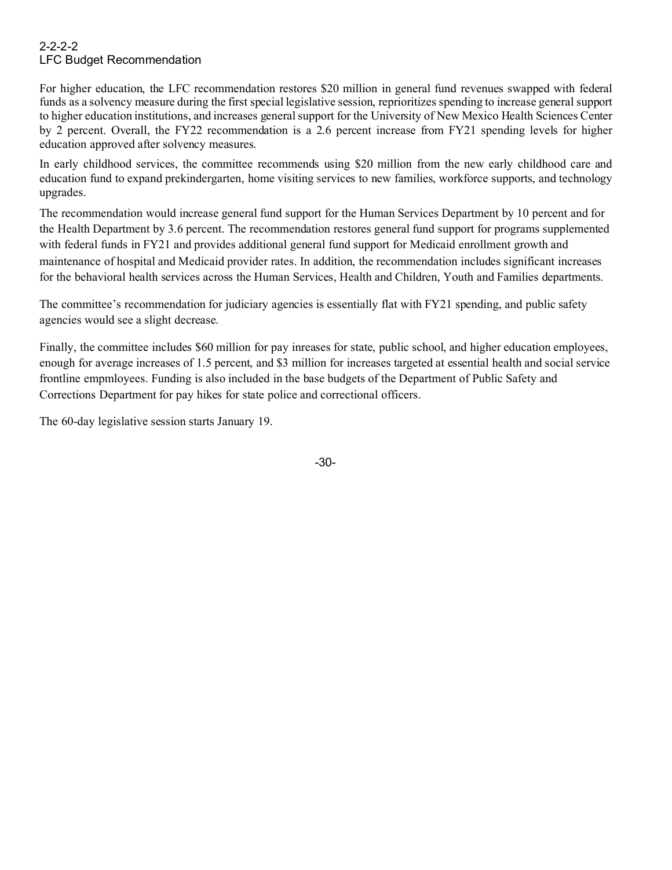#### 2-2-2-2 LFC Budget Recommendation

For higher education, the LFC recommendation restores \$20 million in general fund revenues swapped with federal funds as a solvency measure during the first special legislative session, reprioritizes spending to increase general support to higher education institutions, and increases general support for the University of New Mexico Health Sciences Center by 2 percent. Overall, the FY22 recommendation is a 2.6 percent increase from FY21 spending levels for higher education approved after solvency measures.

In early childhood services, the committee recommends using \$20 million from the new early childhood care and education fund to expand prekindergarten, home visiting services to new families, workforce supports, and technology upgrades.

The recommendation would increase general fund support for the Human Services Department by 10 percent and for the Health Department by 3.6 percent. The recommendation restores general fund support for programs supplemented with federal funds in FY21 and provides additional general fund support for Medicaid enrollment growth and maintenance of hospital and Medicaid provider rates. In addition, the recommendation includes significant increases for the behavioral health services across the Human Services, Health and Children, Youth and Families departments.

The committee's recommendation for judiciary agencies is essentially flat with FY21 spending, and public safety agencies would see a slight decrease.

Finally, the committee includes \$60 million for pay inreases for state, public school, and higher education employees, enough for average increases of 1.5 percent, and \$3 million for increases targeted at essential health and social service frontline empmloyees. Funding is also included in the base budgets of the Department of Public Safety and Corrections Department for pay hikes for state police and correctional officers.

The 60-day legislative session starts January 19.

-30-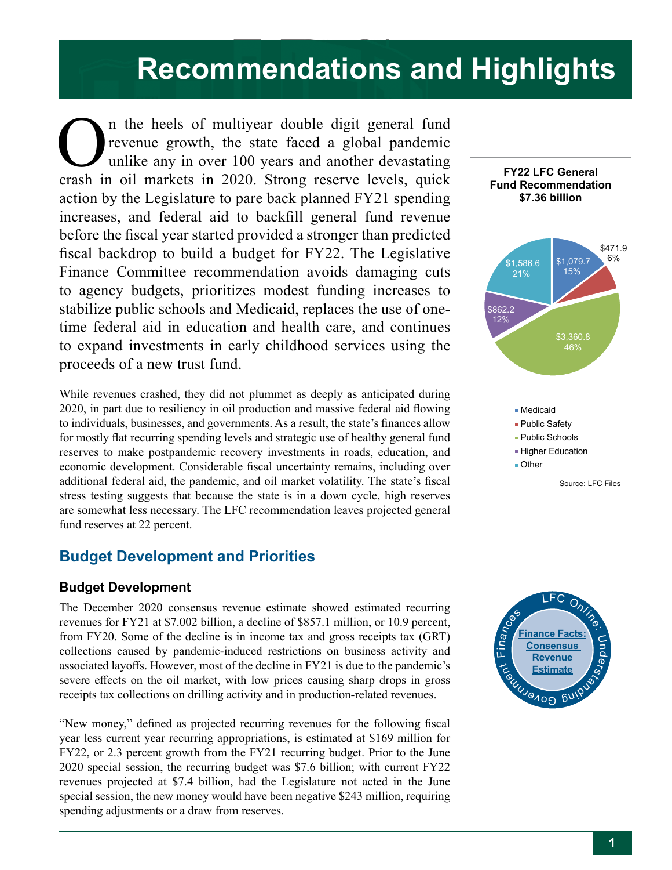## **Recommendations and Highlights**  $\frac{1}{2}$ **K**ole PED Special Appropriations Categorical Appropriations

FIT

Home Visiting

In the heels of multiyear double digit general fund<br>revenue growth, the state faced a global pandemic<br>unlike any in over 100 years and another devastating<br>crash in oil markets in 2020. Strong reserve levels quick revenue growth, the state faced a global pandemic unlike any in over 100 years and another devastating crash in oil markets in 2020. Strong reserve levels, quick action by the Legislature to pare back planned FY21 spending increases, and federal aid to backfill general fund revenue before the fiscal year started provided a stronger than predicted fiscal backdrop to build a budget for FY22. The Legislative Finance Committee recommendation avoids damaging cuts to agency budgets, prioritizes modest funding increases to stabilize public schools and Medicaid, replaces the use of onetime federal aid in education and health care, and continues to expand investments in early childhood services using the proceeds of a new trust fund. n the heels of multiyear double digit general fund

While revenues crashed, they did not plummet as deeply as anticipated during 2020, in part due to resiliency in oil production and massive federal aid flowing to individuals, businesses, and governments. As a result, the state's finances allow for mostly flat recurring spending levels and strategic use of healthy general fund reserves to make postpandemic recovery investments in roads, education, and economic development. Considerable fiscal uncertainty remains, including over additional federal aid, the pandemic, and oil market volatility. The state's fiscal stress testing suggests that because the state is in a down cycle, high reserves are somewhat less necessary. The LFC recommendation leaves projected general fund reserves at 22 percent.

# **Budget Development and Priorities**

## **Budget Development**

The December 2020 consensus revenue estimate showed estimated recurring revenues for FY21 at \$7.002 billion, a decline of \$857.1 million, or 10.9 percent, from FY20. Some of the decline is in income tax and gross receipts tax (GRT) collections caused by pandemic-induced restrictions on business activity and associated layoffs. However, most of the decline in FY21 is due to the pandemic's severe effects on the oil market, with low prices causing sharp drops in gross receipts tax collections on drilling activity and in production-related revenues.

"New money," defined as projected recurring revenues for the following fiscal year less current year recurring appropriations, is estimated at \$169 million for FY22, or 2.3 percent growth from the FY21 recurring budget. Prior to the June 2020 special session, the recurring budget was \$7.6 billion; with current FY22 revenues projected at \$7.4 billion, had the Legislature not acted in the June special session, the new money would have been negative \$243 million, requiring spending adjustments or a draw from reserves.



PED Operating Budget

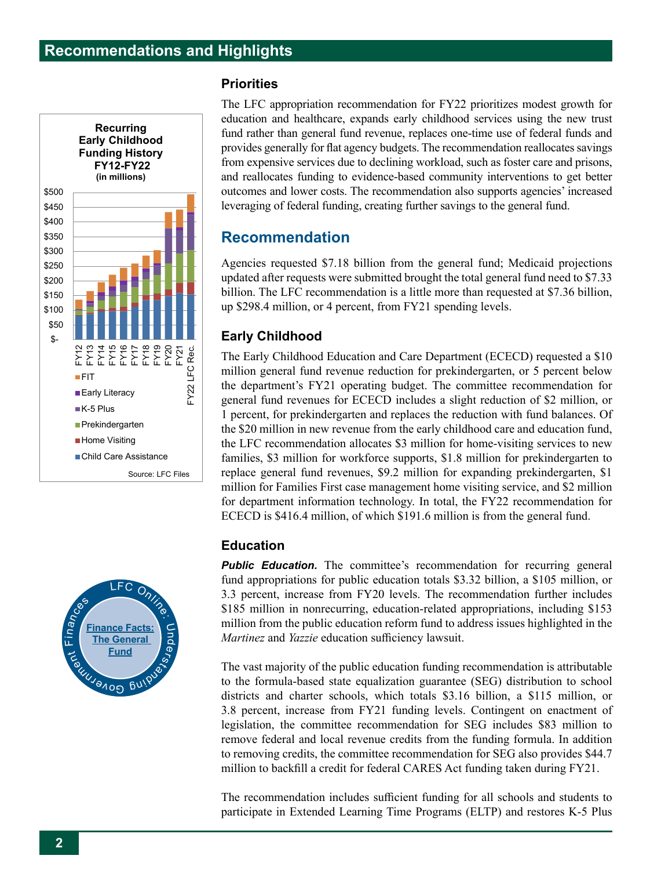



#### **Priorities**

The LFC appropriation recommendation for FY22 prioritizes modest growth for education and healthcare, expands early childhood services using the new trust fund rather than general fund revenue, replaces one-time use of federal funds and provides generally for flat agency budgets. The recommendation reallocates savings from expensive services due to declining workload, such as foster care and prisons, and reallocates funding to evidence-based community interventions to get better outcomes and lower costs. The recommendation also supports agencies' increased leveraging of federal funding, creating further savings to the general fund. **(in billions)**

## **Recommendation**

Agencies requested \$7.18 billion from the general fund; Medicaid projections updated after requests were submitted brought the total general fund need to \$7.33 billion. The LFC recommendation is a little more than requested at \$7.36 billion, up \$298.4 million, or 4 percent, from FY21 spending levels.

## **Early Childhood** \$0.0

The Early Childhood Education and Care Department (ECECD) requested a \$10 million general fund revenue reduction for prekindergarten, or 5 percent below the department's FY21 operating budget. The committee recommendation for general fund revenues for ECECD includes a slight reduction of \$2 million, or 1 percent, for prekindergarten and replaces the reduction with fund balances. Of the \$20 million in new revenue from the early childhood care and education fund, the LFC recommendation allocates \$3 million for home-visiting services to new families, \$3 million for workforce supports, \$1.8 million for prekindergarten to replace general fund revenues, \$9.2 million for expanding prekindergarten, \$1 million for Families First case management home visiting service, and \$2 million for department information technology. In total, the FY22 recommendation for ECECD is \$416.4 million, of which \$191.6 million is from the general fund. **Fund Recommendation**

## **Education**

**Public Education.** The committee's recommendation for recurring general fund appropriations for public education totals \$3.32 billion, a \$105 million, or  $3.3$  percent, increase from FY20 levels. The recommendation further includes \$185 million in nonrecurring, education-related appropriations, including \$153 million from the public education reform fund to address issues highlighted in the *Martinez* and *Yazzie* education sufficiency lawsuit. 1 nonrecurring,  $\alpha$ 110<sub>11</sub>

The vast majority of the public education funding recommendation is attributable to the formula-based state equalization guarantee (SEG) distribution to school districts and charter schools, which totals \$3.16 billion, a \$115 million, or 3.8 percent, increase from FY21 funding levels. Contingent on enactment of legislation, the committee recommendation for SEG includes \$83 million to remove federal and local revenue credits from the funding formula. In addition to removing credits, the committee recommendation for SEG also provides \$44.7 million to backfill a credit for federal CARES Act funding taken during FY21.

The recommendation includes sufficient funding for all schools and students to participate in Extended Learning Time Programs (ELTP) and restores K-5 Plus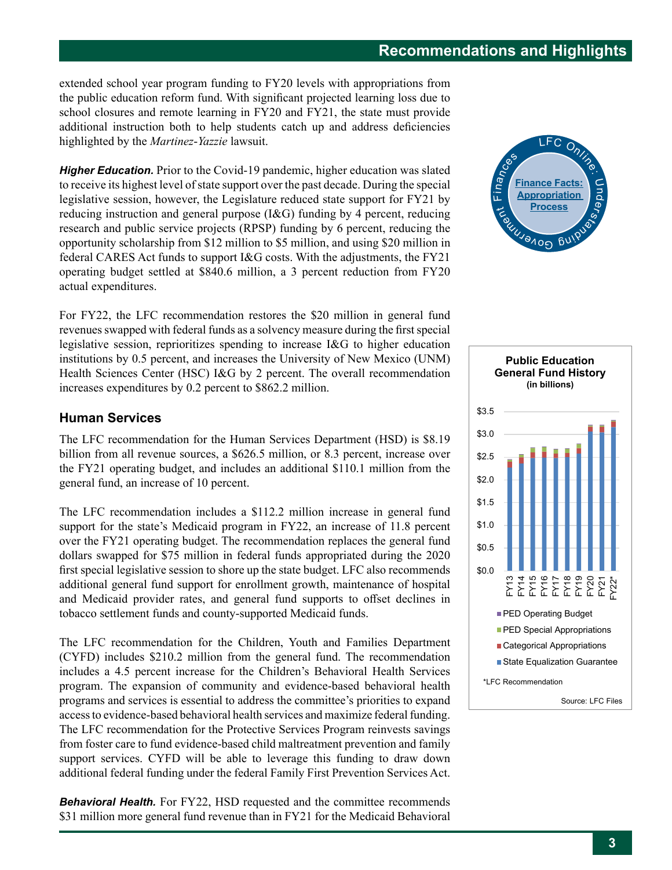extended school year program funding to FY20 levels with appropriations from the public education reform fund. With significant projected learning loss due to school closures and remote learning in FY20 and FY21, the state must provide additional instruction both to help students catch up and address deficiencies highlighted by the *Martinez*-*Yazzie* lawsuit.

*Higher Education.* Prior to the Covid-19 pandemic, higher education was slated to receive its highest level of state support over the past decade. During the special legislative session, however, the Legislature reduced state support for FY21 by reducing instruction and general purpose (I&G) funding by 4 percent, reducing research and public service projects (RPSP) funding by 6 percent, reducing the opportunity scholarship from \$12 million to \$5 million, and using \$20 million in federal CARES Act funds to support I&G costs. With the adjustments, the FY21 operating budget settled at \$840.6 million, a 3 percent reduction from FY20 actual expenditures.

For FY22, the LFC recommendation restores the \$20 million in general fund revenues swapped with federal funds as a solvency measure during the first special legislative session, reprioritizes spending to increase I&G to higher education institutions by 0.5 percent, and increases the University of New Mexico (UNM) Health Sciences Center (HSC) I&G by 2 percent. The overall recommendation increases expenditures by 0.2 percent to \$862.2 million.

#### **Human Services**

The LFC recommendation for the Human Services Department (HSD) is \$8.19 billion from all revenue sources, a  $$626.5$  million, or 8.3 percent, increase over the  $FY21$  operating budget, and includes an additional  $$110.1$  million from the general fund, an increase of 10 percent.

The LFC recommendation includes a \$112.2 million increase in general fund support for the state's Medicaid program in  $FY22$ , an increase of  $11.8$  percent over the FY21 operating budget. The recommendation replaces the general fund dollars swapped for \$75 million in federal funds appropriated during the 2020 first special legislative session to shore up the state budget. LFC also recommends additional general fund support for enrollment growth, maintenance of hospital and Medicaid provider rates, and general fund supports to offset declines in tobacco settlement funds and county-supported Medicaid funds. o<br>de

The LFC recommendation for the Children, Youth and Families Department (CYFD) includes \$210.2 million from the general fund. The recommendation includes a 4.5 percent increase for the Children's Behavioral Health Services program. The expansion of community and evidence-based behavioral health programs and services is essential to address the committee's priorities to expand access to evidence-based behavioral health services and maximize federal funding. The LFC recommendation for the Protective Services Program reinvests savings from foster care to fund evidence-based child maltreatment prevention and family support services. CYFD will be able to leverage this funding to draw down additional federal funding under the federal Family First Prevention Services Act.

**Behavioral Health.** For FY22, HSD requested and the committee recommends \$31 million more general fund revenue than in FY21 for the Medicaid Behavioral





\$1,079.7

\$1,586.6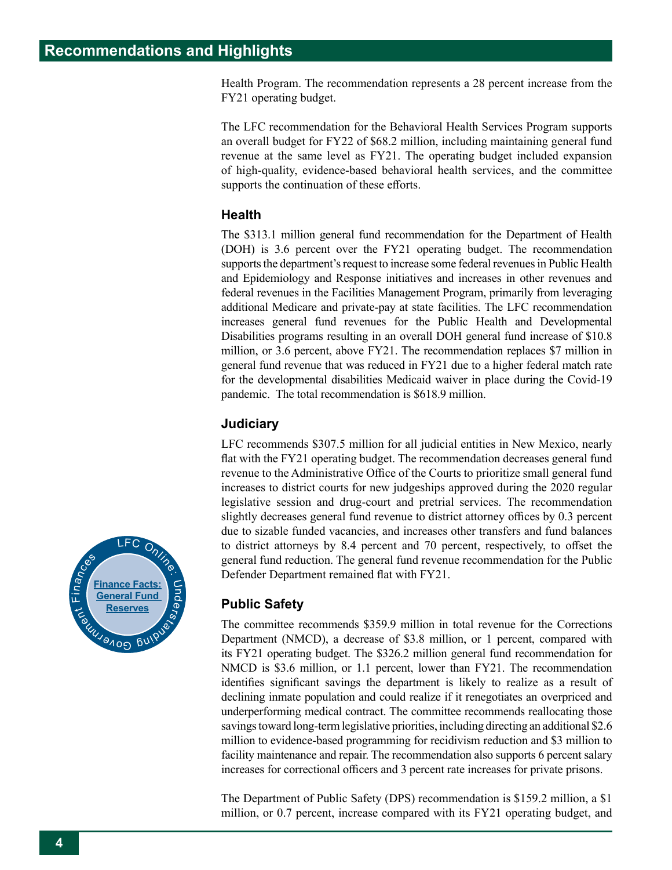Health Program. The recommendation represents a 28 percent increase from the FY21 operating budget.

The LFC recommendation for the Behavioral Health Services Program supports an overall budget for FY22 of \$68.2 million, including maintaining general fund revenue at the same level as FY21. The operating budget included expansion of high-quality, evidence-based behavioral health services, and the committee supports the continuation of these efforts.

#### **Health**

The \$313.1 million general fund recommendation for the Department of Health (DOH) is 3.6 percent over the FY21 operating budget. The recommendation supports the department's request to increase some federal revenues in Public Health and Epidemiology and Response initiatives and increases in other revenues and federal revenues in the Facilities Management Program, primarily from leveraging additional Medicare and private-pay at state facilities. The LFC recommendation increases general fund revenues for the Public Health and Developmental Disabilities programs resulting in an overall DOH general fund increase of \$10.8 million, or 3.6 percent, above FY21. The recommendation replaces \$7 million in general fund revenue that was reduced in FY21 due to a higher federal match rate for the developmental disabilities Medicaid waiver in place during the Covid-19 pandemic. The total recommendation is \$618.9 million.

## **Judiciary**

LFC recommends \$307.5 million for all judicial entities in New Mexico, nearly flat with the FY21 operating budget. The recommendation decreases general fund revenue to the Administrative Office of the Courts to prioritize small general fund increases to district courts for new judgeships approved during the 2020 regular legislative session and drug-court and pretrial services. The recommendation slightly decreases general fund revenue to district attorney offices by 0.3 percent due to sizable funded vacancies, and increases other transfers and fund balances to district attorneys by 8.4 percent and 70 percent, respectively, to offset the general fund reduction. The general fund revenue recommendation for the Public Defender Department remained flat with FY21.

## **Public Safety**

The committee recommends \$359.9 million in total revenue for the Corrections Department (NMCD), a decrease of \$3.8 million, or 1 percent, compared with its FY21 operating budget. The \$326.2 million general fund recommendation for NMCD is \$3.6 million, or 1.1 percent, lower than FY21. The recommendation identifies significant savings the department is likely to realize as a result of declining inmate population and could realize if it renegotiates an overpriced and underperforming medical contract. The committee recommends reallocating those savings toward long-term legislative priorities, including directing an additional \$2.6 million to evidence-based programming for recidivism reduction and \$3 million to facility maintenance and repair. The recommendation also supports 6 percent salary increases for correctional officers and 3 percent rate increases for private prisons.

The Department of Public Safety (DPS) recommendation is \$159.2 million, a \$1 million, or 0.7 percent, increase compared with its FY21 operating budget, and

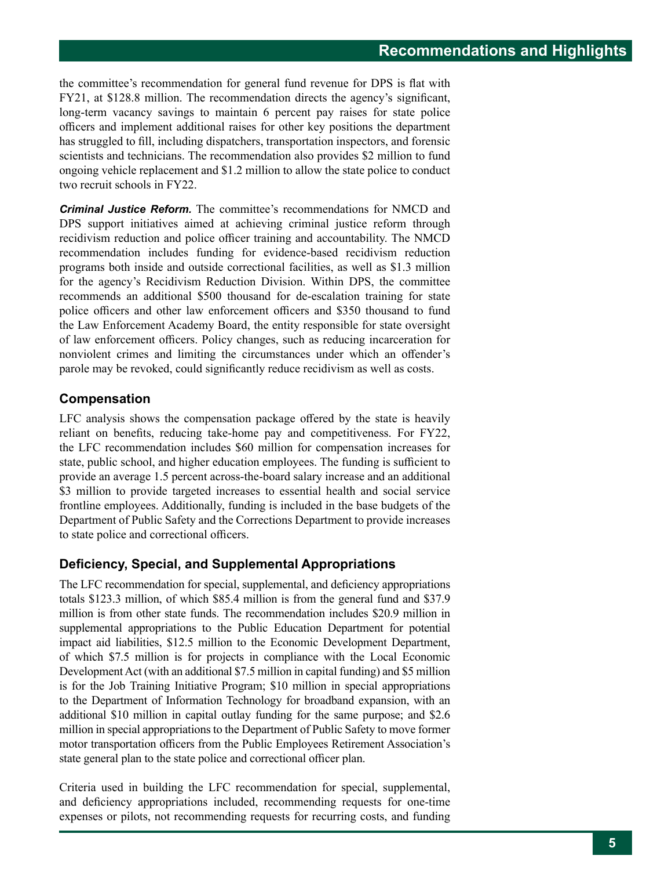the committee's recommendation for general fund revenue for DPS is flat with FY21, at \$128.8 million. The recommendation directs the agency's significant, long-term vacancy savings to maintain 6 percent pay raises for state police officers and implement additional raises for other key positions the department has struggled to fill, including dispatchers, transportation inspectors, and forensic scientists and technicians. The recommendation also provides \$2 million to fund ongoing vehicle replacement and \$1.2 million to allow the state police to conduct two recruit schools in FY22.

*Criminal Justice Reform.* The committee's recommendations for NMCD and DPS support initiatives aimed at achieving criminal justice reform through recidivism reduction and police officer training and accountability. The NMCD recommendation includes funding for evidence-based recidivism reduction programs both inside and outside correctional facilities, as well as \$1.3 million for the agency's Recidivism Reduction Division. Within DPS, the committee recommends an additional \$500 thousand for de-escalation training for state police officers and other law enforcement officers and \$350 thousand to fund the Law Enforcement Academy Board, the entity responsible for state oversight of law enforcement officers. Policy changes, such as reducing incarceration for nonviolent crimes and limiting the circumstances under which an offender's parole may be revoked, could significantly reduce recidivism as well as costs.

## **Compensation**

LFC analysis shows the compensation package offered by the state is heavily reliant on benefits, reducing take-home pay and competitiveness. For FY22, the LFC recommendation includes \$60 million for compensation increases for state, public school, and higher education employees. The funding is sufficient to provide an average 1.5 percent across-the-board salary increase and an additional \$3 million to provide targeted increases to essential health and social service frontline employees. Additionally, funding is included in the base budgets of the Department of Public Safety and the Corrections Department to provide increases to state police and correctional officers.

## **Deficiency, Special, and Supplemental Appropriations**

The LFC recommendation for special, supplemental, and deficiency appropriations totals \$123.3 million, of which \$85.4 million is from the general fund and \$37.9 million is from other state funds. The recommendation includes \$20.9 million in supplemental appropriations to the Public Education Department for potential impact aid liabilities, \$12.5 million to the Economic Development Department, of which \$7.5 million is for projects in compliance with the Local Economic Development Act (with an additional \$7.5 million in capital funding) and \$5 million is for the Job Training Initiative Program; \$10 million in special appropriations to the Department of Information Technology for broadband expansion, with an additional \$10 million in capital outlay funding for the same purpose; and \$2.6 million in special appropriations to the Department of Public Safety to move former motor transportation officers from the Public Employees Retirement Association's state general plan to the state police and correctional officer plan.

Criteria used in building the LFC recommendation for special, supplemental, and deficiency appropriations included, recommending requests for one-time expenses or pilots, not recommending requests for recurring costs, and funding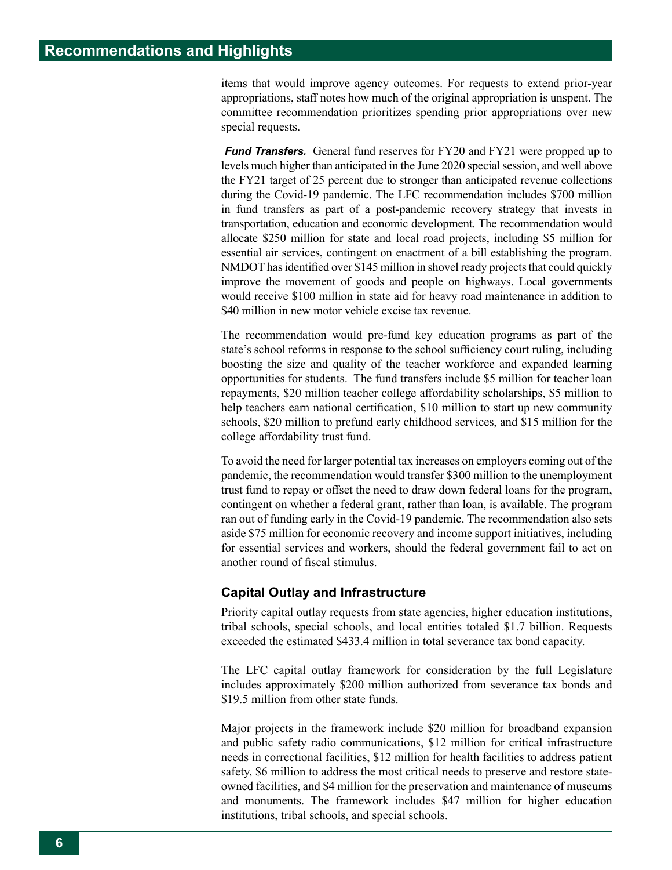items that would improve agency outcomes. For requests to extend prior-year appropriations, staff notes how much of the original appropriation is unspent. The committee recommendation prioritizes spending prior appropriations over new special requests.

*Fund Transfers.* General fund reserves for FY20 and FY21 were propped up to levels much higher than anticipated in the June 2020 special session, and well above the FY21 target of 25 percent due to stronger than anticipated revenue collections during the Covid-19 pandemic. The LFC recommendation includes \$700 million in fund transfers as part of a post-pandemic recovery strategy that invests in transportation, education and economic development. The recommendation would allocate \$250 million for state and local road projects, including \$5 million for essential air services, contingent on enactment of a bill establishing the program. NMDOT has identified over \$145 million in shovel ready projects that could quickly improve the movement of goods and people on highways. Local governments would receive \$100 million in state aid for heavy road maintenance in addition to \$40 million in new motor vehicle excise tax revenue.

The recommendation would pre-fund key education programs as part of the state's school reforms in response to the school sufficiency court ruling, including boosting the size and quality of the teacher workforce and expanded learning opportunities for students. The fund transfers include \$5 million for teacher loan repayments, \$20 million teacher college affordability scholarships, \$5 million to help teachers earn national certification, \$10 million to start up new community schools, \$20 million to prefund early childhood services, and \$15 million for the college affordability trust fund.

To avoid the need for larger potential tax increases on employers coming out of the pandemic, the recommendation would transfer \$300 million to the unemployment trust fund to repay or offset the need to draw down federal loans for the program, contingent on whether a federal grant, rather than loan, is available. The program ran out of funding early in the Covid-19 pandemic. The recommendation also sets aside \$75 million for economic recovery and income support initiatives, including for essential services and workers, should the federal government fail to act on another round of fiscal stimulus.

#### **Capital Outlay and Infrastructure**

Priority capital outlay requests from state agencies, higher education institutions, tribal schools, special schools, and local entities totaled \$1.7 billion. Requests exceeded the estimated \$433.4 million in total severance tax bond capacity.

The LFC capital outlay framework for consideration by the full Legislature includes approximately \$200 million authorized from severance tax bonds and \$19.5 million from other state funds.

Major projects in the framework include \$20 million for broadband expansion and public safety radio communications, \$12 million for critical infrastructure needs in correctional facilities, \$12 million for health facilities to address patient safety, \$6 million to address the most critical needs to preserve and restore stateowned facilities, and \$4 million for the preservation and maintenance of museums and monuments. The framework includes \$47 million for higher education institutions, tribal schools, and special schools.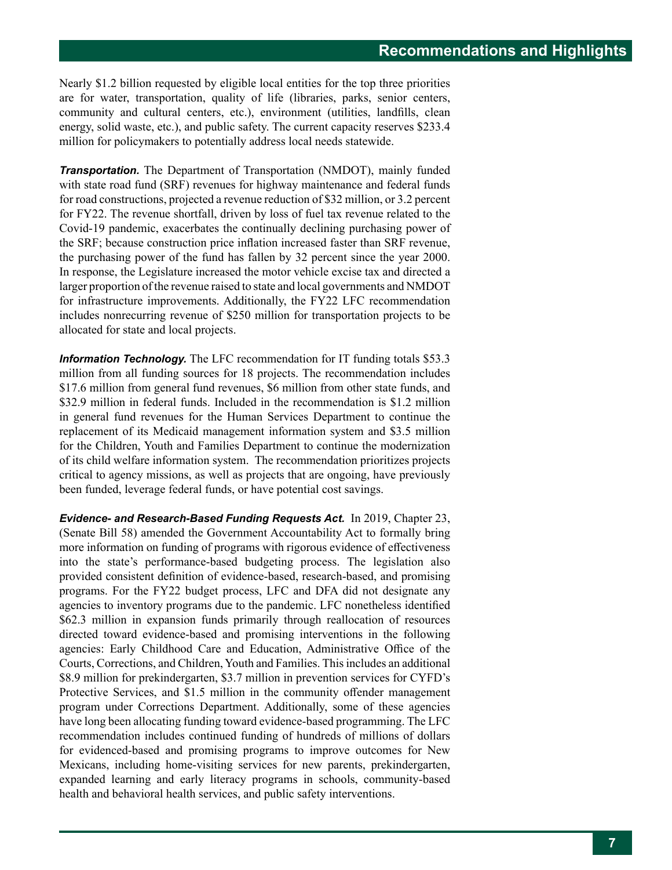Nearly \$1.2 billion requested by eligible local entities for the top three priorities are for water, transportation, quality of life (libraries, parks, senior centers, community and cultural centers, etc.), environment (utilities, landfills, clean energy, solid waste, etc.), and public safety. The current capacity reserves \$233.4 million for policymakers to potentially address local needs statewide.

*Transportation.* The Department of Transportation (NMDOT), mainly funded with state road fund (SRF) revenues for highway maintenance and federal funds for road constructions, projected a revenue reduction of \$32 million, or 3.2 percent for FY22. The revenue shortfall, driven by loss of fuel tax revenue related to the Covid-19 pandemic, exacerbates the continually declining purchasing power of the SRF; because construction price inflation increased faster than SRF revenue, the purchasing power of the fund has fallen by 32 percent since the year 2000. In response, the Legislature increased the motor vehicle excise tax and directed a larger proportion of the revenue raised to state and local governments and NMDOT for infrastructure improvements. Additionally, the FY22 LFC recommendation includes nonrecurring revenue of \$250 million for transportation projects to be allocated for state and local projects.

*Information Technology.* The LFC recommendation for IT funding totals \$53.3 million from all funding sources for 18 projects. The recommendation includes \$17.6 million from general fund revenues, \$6 million from other state funds, and \$32.9 million in federal funds. Included in the recommendation is \$1.2 million in general fund revenues for the Human Services Department to continue the replacement of its Medicaid management information system and \$3.5 million for the Children, Youth and Families Department to continue the modernization of its child welfare information system. The recommendation prioritizes projects critical to agency missions, as well as projects that are ongoing, have previously been funded, leverage federal funds, or have potential cost savings.

*Evidence- and Research-Based Funding Requests Act.* In 2019, Chapter 23, (Senate Bill 58) amended the Government Accountability Act to formally bring more information on funding of programs with rigorous evidence of effectiveness into the state's performance-based budgeting process. The legislation also provided consistent definition of evidence-based, research-based, and promising programs. For the FY22 budget process, LFC and DFA did not designate any agencies to inventory programs due to the pandemic. LFC nonetheless identified \$62.3 million in expansion funds primarily through reallocation of resources directed toward evidence-based and promising interventions in the following agencies: Early Childhood Care and Education, Administrative Office of the Courts, Corrections, and Children, Youth and Families. This includes an additional \$8.9 million for prekindergarten, \$3.7 million in prevention services for CYFD's Protective Services, and \$1.5 million in the community offender management program under Corrections Department. Additionally, some of these agencies have long been allocating funding toward evidence-based programming. The LFC recommendation includes continued funding of hundreds of millions of dollars for evidenced-based and promising programs to improve outcomes for New Mexicans, including home-visiting services for new parents, prekindergarten, expanded learning and early literacy programs in schools, community-based health and behavioral health services, and public safety interventions.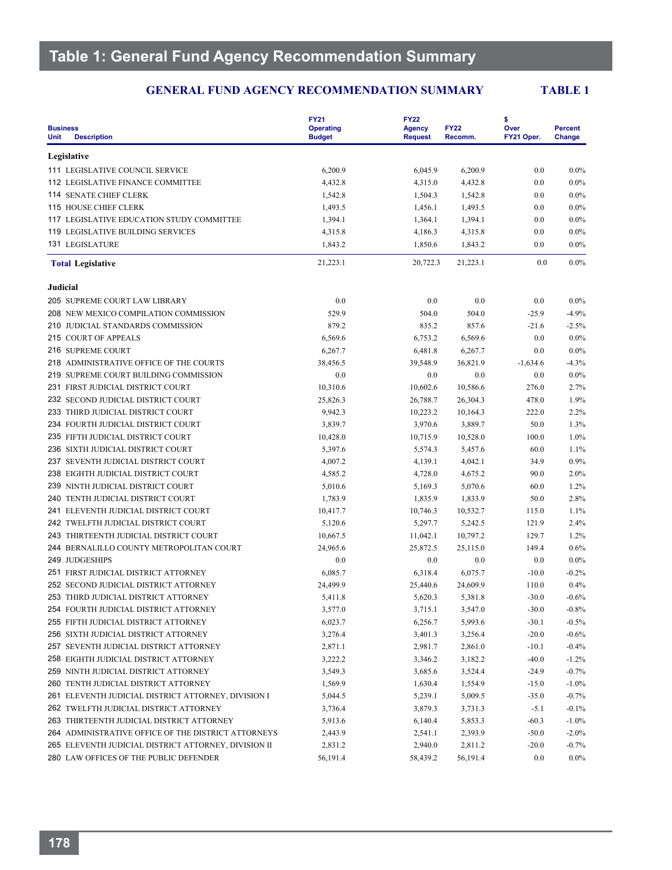|                                                                          | <b>FY21</b>                       | <b>FY22</b>                     |                        | \$                 | <b>Percent</b><br>Change |  |
|--------------------------------------------------------------------------|-----------------------------------|---------------------------------|------------------------|--------------------|--------------------------|--|
| <b>Business</b><br><b>Unit</b><br><b>Description</b>                     | <b>Operating</b><br><b>Budget</b> | <b>Agency</b><br><b>Request</b> | <b>FY22</b><br>Recomm. | Over<br>FY21 Oper. |                          |  |
| Legislative                                                              |                                   |                                 |                        |                    |                          |  |
| 111 LEGISLATIVE COUNCIL SERVICE                                          | 6,200.9                           | 6,045.9                         | 6,200.9                | 0.0                | $0.0\%$                  |  |
| <b>112 LEGISLATIVE FINANCE COMMITTEE</b>                                 | 4,432.8                           | 4,315.0                         | 4,432.8                | 0.0                | $0.0\%$                  |  |
| <b>114 SENATE CHIEF CLERK</b>                                            | 1,542.8                           | 1,504.3                         | 1,542.8                | 0.0                | $0.0\%$                  |  |
| <b>115 HOUSE CHIEF CLERK</b>                                             | 1,493.5                           | 1,456.1                         | 1,493.5                | 0.0                | $0.0\%$                  |  |
| 117 LEGISLATIVE EDUCATION STUDY COMMITTEE                                | 1,394.1                           | 1,364.1                         | 1,394.1                | 0.0                | $0.0\%$                  |  |
| <b>119 LEGISLATIVE BUILDING SERVICES</b>                                 | 4,315.8                           | 4,186.3                         | 4,315.8                | 0.0                | $0.0\%$                  |  |
| <b>131 LEGISLATURE</b>                                                   | 1,843.2                           | 1,850.6                         | 1,843.2                | 0.0                | $0.0\%$                  |  |
| <b>Total Legislative</b>                                                 | 21,223.1                          | 20,722.3                        | 21,223.1               | 0.0                | $0.0\%$                  |  |
| Judicial                                                                 |                                   |                                 |                        |                    |                          |  |
| 205 SUPREME COURT LAW LIBRARY                                            | 0.0                               | 0.0                             | 0.0                    | 0.0                | $0.0\%$                  |  |
| 208 NEW MEXICO COMPILATION COMMISSION                                    | 529.9                             | 504.0                           | 504.0                  | $-25.9$            | $-4.9%$                  |  |
| 210 JUDICIAL STANDARDS COMMISSION                                        | 879.2                             | 835.2                           | 857.6                  | $-21.6$            | $-2.5%$                  |  |
| 215 COURT OF APPEALS                                                     | 6,569.6                           | 6,753.2                         | 6,569.6                | 0.0                | $0.0\%$                  |  |
| 216 SUPREME COURT                                                        | 6,267.7                           | 6,481.8                         | 6,267.7                | 0.0                | $0.0\%$                  |  |
| 218 ADMINISTRATIVE OFFICE OF THE COURTS                                  | 38,456.5                          | 39,548.9                        | 36,821.9               | $-1,634.6$         | $-4.3%$                  |  |
| 219 SUPREME COURT BUILDING COMMISSION                                    | 0.0                               | 0.0                             | 0.0                    | 0.0                | $0.0\%$                  |  |
| 231 FIRST JUDICIAL DISTRICT COURT                                        | 10,310.6                          | 10,602.6                        | 10,586.6               | 276.0              | 2.7%                     |  |
| 232 SECOND JUDICIAL DISTRICT COURT                                       | 25,826.3                          | 26,788.7                        | 26,304.3               | 478.0              | 1.9%                     |  |
| 233 THIRD JUDICIAL DISTRICT COURT                                        | 9,942.3                           | 10,223.2                        | 10,164.3               | 222.0              | 2.2%                     |  |
| 234 FOURTH JUDICIAL DISTRICT COURT                                       | 3,839.7                           | 3,970.6                         | 3,889.7                | 50.0               | 1.3%                     |  |
| 235 FIFTH JUDICIAL DISTRICT COURT                                        | 10,428.0                          | 10,715.9                        |                        | 100.0              | 1.0%                     |  |
|                                                                          |                                   |                                 | 10,528.0               | 60.0               | 1.1%                     |  |
| 236 SIXTH JUDICIAL DISTRICT COURT<br>237 SEVENTH JUDICIAL DISTRICT COURT | 5,397.6                           | 5,574.3                         | 5,457.6                | 34.9               |                          |  |
|                                                                          | 4,007.2                           | 4,139.1                         | 4,042.1                |                    | 0.9%                     |  |
| 238 EIGHTH JUDICIAL DISTRICT COURT                                       | 4,585.2                           | 4,728.0                         | 4,675.2                | 90.0               | 2.0%                     |  |
| 239 NINTH JUDICIAL DISTRICT COURT                                        | 5,010.6                           | 5,169.3                         | 5,070.6                | 60.0               | 1.2%                     |  |
| 240 TENTH JUDICIAL DISTRICT COURT                                        | 1,783.9                           | 1,835.9                         | 1,833.9                | 50.0               | 2.8%                     |  |
| 241 ELEVENTH JUDICIAL DISTRICT COURT                                     | 10,417.7                          | 10,746.3                        | 10,532.7               | 115.0              | 1.1%                     |  |
| 242 TWELFTH JUDICIAL DISTRICT COURT                                      | 5,120.6                           | 5,297.7                         | 5,242.5                | 121.9              | 2.4%                     |  |
| 243 THIRTEENTH JUDICIAL DISTRICT COURT                                   | 10,667.5                          | 11,042.1                        | 10,797.2               | 129.7              | 1.2%                     |  |
| 244 BERNALILLO COUNTY METROPOLITAN COURT                                 | 24,965.6                          | 25,872.5                        | 25,115.0               | 149.4              | 0.6%                     |  |
| 249 JUDGESHIPS                                                           | 0.0                               | 0.0                             | 0.0                    | 0.0                | $0.0\%$                  |  |
| 251 FIRST JUDICIAL DISTRICT ATTORNEY                                     | 6,085.7                           | 6,318.4                         | 6,075.7                | $-10.0$            | $-0.2%$                  |  |
| 252 SECOND JUDICIAL DISTRICT ATTORNEY                                    | 24,499.9                          | 25,440.6                        | 24,609.9               | 110.0              | 0.4%                     |  |
| 253 THIRD JUDICIAL DISTRICT ATTORNEY                                     | 5,411.8                           | 5,620.3                         | 5,381.8                | $-30.0$            | $-0.6%$                  |  |
| 254 FOURTH JUDICIAL DISTRICT ATTORNEY                                    | 3,577.0                           | 3,715.1                         | 3,547.0                | $-30.0$            | $\textbf{-0.8}\%$        |  |
| 255 FIFTH JUDICIAL DISTRICT ATTORNEY                                     | 6,023.7                           | 6,256.7                         | 5,993.6                | $-30.1$            | $-0.5\%$                 |  |
| 256 SIXTH JUDICIAL DISTRICT ATTORNEY                                     | 3,276.4                           | 3,401.3                         | 3,256.4                | $-20.0$            | $-0.6%$                  |  |
| 257 SEVENTH JUDICIAL DISTRICT ATTORNEY                                   | 2,871.1                           | 2,981.7                         | 2,861.0                | $-10.1$            | $-0.4%$                  |  |
| 258 EIGHTH JUDICIAL DISTRICT ATTORNEY                                    | 3,222.2                           | 3,346.2                         | 3,182.2                | $-40.0$            | $-1.2%$                  |  |
| 259 NINTH JUDICIAL DISTRICT ATTORNEY                                     | 3,549.3                           | 3,685.6                         | 3,524.4                | $-24.9$            | $-0.7%$                  |  |
| 260 TENTH JUDICIAL DISTRICT ATTORNEY                                     | 1,569.9                           | 1,630.4                         | 1,554.9                | $-15.0$            | $-1.0\%$                 |  |
| 261 ELEVENTH JUDICIAL DISTRICT ATTORNEY, DIVISION I                      | 5,044.5                           | 5,239.1                         | 5,009.5                | $-35.0$            | $-0.7%$                  |  |
| 262 TWELFTH JUDICIAL DISTRICT ATTORNEY                                   | 3,736.4                           | 3,879.3                         | 3,731.3                | $-5.1$             | $-0.1\%$                 |  |
| 263 THIRTEENTH JUDICIAL DISTRICT ATTORNEY                                | 5,913.6                           | 6,140.4                         | 5,853.3                | $-60.3$            | $-1.0\%$                 |  |
| 264 ADMINISTRATIVE OFFICE OF THE DISTRICT ATTORNEYS                      | 2,443.9                           | 2,541.1                         | 2,393.9                | $-50.0$            | $-2.0%$                  |  |
| 265 ELEVENTH JUDICIAL DISTRICT ATTORNEY, DIVISION II                     | 2,831.2                           | 2,940.0                         | 2,811.2                | $-20.0$            | $-0.7%$                  |  |
| 280 LAW OFFICES OF THE PUBLIC DEFENDER                                   | 56,191.4                          | 58,439.2                        | 56,191.4               | 0.0                | $0.0\%$                  |  |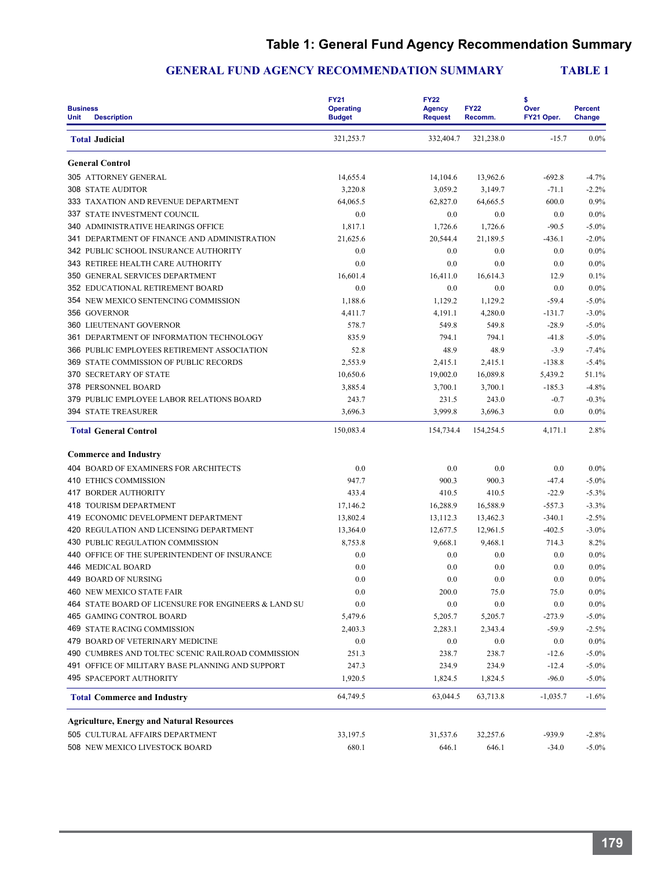# **Table 1: General Fund Agency Recommendation Summary**

| <b>Business</b><br><b>Description</b><br>Unit        | <b>FY21</b><br><b>Operating</b><br><b>Budget</b> | <b>FY22</b><br><b>Agency</b><br><b>Request</b> | <b>FY22</b><br>Recomm. | \$<br>Over<br>FY21 Oper. | <b>Percent</b><br>Change |
|------------------------------------------------------|--------------------------------------------------|------------------------------------------------|------------------------|--------------------------|--------------------------|
| <b>Total Judicial</b>                                | 321,253.7                                        | 332,404.7                                      | 321,238.0              | $-15.7$                  | $0.0\%$                  |
| <b>General Control</b>                               |                                                  |                                                |                        |                          |                          |
| 305 ATTORNEY GENERAL                                 | 14,655.4                                         | 14,104.6                                       | 13,962.6               | $-692.8$                 | $-4.7%$                  |
| <b>308 STATE AUDITOR</b>                             | 3,220.8                                          | 3,059.2                                        | 3,149.7                | $-71.1$                  | $-2.2%$                  |
| 333 TAXATION AND REVENUE DEPARTMENT                  | 64,065.5                                         | 62,827.0                                       | 64,665.5               | 600.0                    | 0.9%                     |
| 337 STATE INVESTMENT COUNCIL                         | 0.0                                              | 0.0                                            | 0.0                    | 0.0                      | $0.0\%$                  |
| 340 ADMINISTRATIVE HEARINGS OFFICE                   | 1,817.1                                          | 1,726.6                                        | 1,726.6                | $-90.5$                  | $-5.0\%$                 |
| 341 DEPARTMENT OF FINANCE AND ADMINISTRATION         | 21,625.6                                         | 20,544.4                                       | 21,189.5               | $-436.1$                 | $-2.0%$                  |
| 342 PUBLIC SCHOOL INSURANCE AUTHORITY                | 0.0                                              | 0.0                                            | 0.0                    | 0.0                      | $0.0\%$                  |
| 343 RETIREE HEALTH CARE AUTHORITY                    | 0.0                                              | 0.0                                            | 0.0                    | 0.0                      | $0.0\%$                  |
| 350 GENERAL SERVICES DEPARTMENT                      | 16,601.4                                         | 16,411.0                                       | 16,614.3               | 12.9                     | 0.1%                     |
| <b>352 EDUCATIONAL RETIREMENT BOARD</b>              | 0.0                                              | 0.0                                            | 0.0                    | 0.0                      | 0.0%                     |
| 354 NEW MEXICO SENTENCING COMMISSION                 | 1,188.6                                          | 1,129.2                                        | 1,129.2                | $-59.4$                  | $-5.0\%$                 |
| 356 GOVERNOR                                         | 4,411.7                                          | 4,191.1                                        | 4,280.0                | $-131.7$                 | $-3.0\%$                 |
| <b>360 LIEUTENANT GOVERNOR</b>                       | 578.7                                            | 549.8                                          | 549.8                  | $-28.9$                  | $-5.0\%$                 |
| 361 DEPARTMENT OF INFORMATION TECHNOLOGY             | 835.9                                            | 794.1                                          | 794.1                  | $-41.8$                  | $-5.0\%$                 |
| 366 PUBLIC EMPLOYEES RETIREMENT ASSOCIATION          | 52.8                                             | 48.9                                           | 48.9                   | $-3.9$                   | $-7.4%$                  |
| 369 STATE COMMISSION OF PUBLIC RECORDS               | 2,553.9                                          | 2,415.1                                        | 2,415.1                | $-138.8$                 | $-5.4%$                  |
| <b>370 SECRETARY OF STATE</b>                        | 10,650.6                                         | 19,002.0                                       | 16,089.8               | 5.439.2                  | 51.1%                    |
| 378 PERSONNEL BOARD                                  | 3,885.4                                          | 3,700.1                                        | 3,700.1                | $-185.3$                 | $-4.8%$                  |
| 379 PUBLIC EMPLOYEE LABOR RELATIONS BOARD            | 243.7                                            | 231.5                                          | 243.0                  | $-0.7$                   | $-0.3%$                  |
| <b>394 STATE TREASURER</b>                           | 3,696.3                                          | 3,999.8                                        | 3,696.3                | 0.0                      | $0.0\%$                  |
| <b>Total General Control</b>                         | 150,083.4                                        | 154,734.4                                      | 154,254.5              | 4,171.1                  | 2.8%                     |
| <b>Commerce and Industry</b>                         |                                                  |                                                |                        |                          |                          |
| <b>404 BOARD OF EXAMINERS FOR ARCHITECTS</b>         | 0.0                                              | 0.0                                            | 0.0                    | 0.0                      | $0.0\%$                  |
| <b>410 ETHICS COMMISSION</b>                         | 947.7                                            | 900.3                                          | 900.3                  | $-47.4$                  | $-5.0\%$                 |
| <b>417 BORDER AUTHORITY</b>                          | 433.4                                            | 410.5                                          | 410.5                  | $-22.9$                  | $-5.3%$                  |
| 418 TOURISM DEPARTMENT                               | 17,146.2                                         | 16,288.9                                       | 16,588.9               | $-557.3$                 | $-3.3%$                  |
| 419 ECONOMIC DEVELOPMENT DEPARTMENT                  | 13,802.4                                         | 13,112.3                                       | 13,462.3               | $-340.1$                 | $-2.5%$                  |
| 420 REGULATION AND LICENSING DEPARTMENT              | 13,364.0                                         | 12,677.5                                       | 12,961.5               | $-402.5$                 | $-3.0\%$                 |
| 430 PUBLIC REGULATION COMMISSION                     | 8,753.8                                          | 9,668.1                                        | 9,468.1                | 714.3                    | 8.2%                     |
| 440 OFFICE OF THE SUPERINTENDENT OF INSURANCE        | 0.0                                              | 0.0                                            | 0.0                    | 0.0                      | $0.0\%$                  |
| 446 MEDICAL BOARD                                    | 0.0                                              | 0.0                                            | 0.0                    | 0.0                      | $0.0\%$                  |
| <b>449 BOARD OF NURSING</b>                          | 0.0                                              | 0.0                                            | 0.0                    | 0.0                      | $0.0\%$                  |
| 460 NEW MEXICO STATE FAIR                            | 0.0                                              | 200.0                                          | 75.0                   | 75.0                     | $0.0\%$                  |
| 464 STATE BOARD OF LICENSURE FOR ENGINEERS & LAND SU | 0.0                                              | 0.0                                            | $0.0\,$                | 0.0                      | $0.0\%$                  |
| 465 GAMING CONTROL BOARD                             | 5,479.6                                          | 5,205.7                                        | 5,205.7                | $-273.9$                 | $-5.0\%$                 |
| 469 STATE RACING COMMISSION                          | 2,403.3                                          | 2,283.1                                        | 2,343.4                | $-59.9$                  | $-2.5%$                  |
| 479 BOARD OF VETERINARY MEDICINE                     | 0.0                                              | 0.0                                            | 0.0                    | 0.0                      | $0.0\%$                  |
| 490 CUMBRES AND TOLTEC SCENIC RAILROAD COMMISSION    | 251.3                                            | 238.7                                          | 238.7                  | $-12.6$                  | $-5.0\%$                 |
| 491 OFFICE OF MILITARY BASE PLANNING AND SUPPORT     | 247.3                                            | 234.9                                          | 234.9                  | $-12.4$                  | $-5.0\%$                 |
| <b>495 SPACEPORT AUTHORITY</b>                       | 1,920.5                                          | 1,824.5                                        | 1,824.5                | $-96.0$                  | $-5.0\%$                 |
| <b>Total Commerce and Industry</b>                   | 64,749.5                                         | 63,044.5                                       | 63,713.8               | $-1,035.7$               | $-1.6%$                  |
| <b>Agriculture, Energy and Natural Resources</b>     |                                                  |                                                |                        |                          |                          |
| 505 CULTURAL AFFAIRS DEPARTMENT                      | 33,197.5                                         | 31,537.6                                       | 32,257.6               | -939.9                   | $-2.8%$                  |
| 508 NEW MEXICO LIVESTOCK BOARD                       | 680.1                                            | 646.1                                          | 646.1                  | $-34.0$                  | $-5.0\%$                 |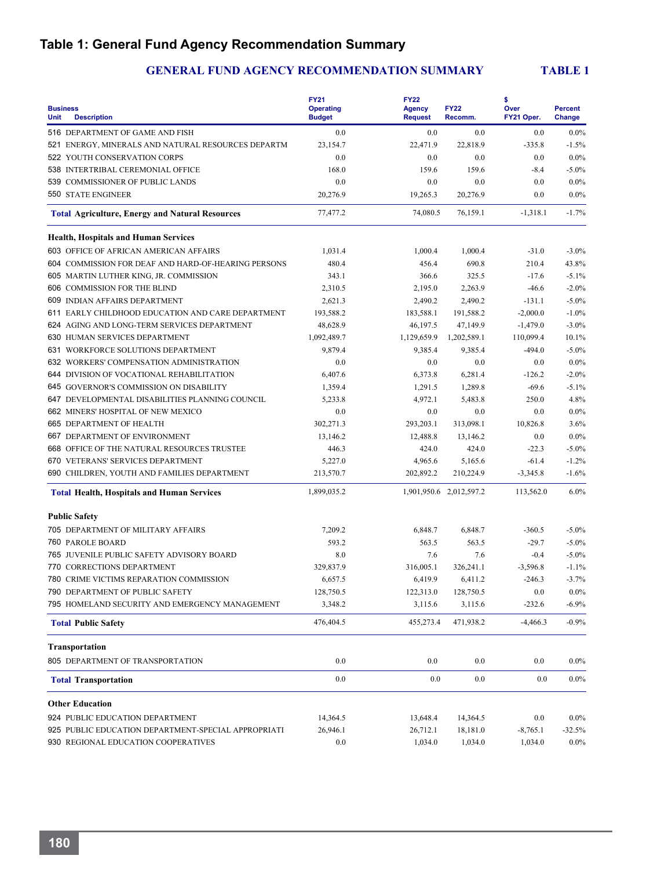# **Table 1: General Fund Agency Recommendation Summary**

| <b>Business</b><br><b>Unit</b><br><b>Description</b>   | <b>FY21</b><br><b>Operating</b><br><b>Budget</b> | <b>FY22</b><br><b>Agency</b><br><b>Request</b> | <b>FY22</b><br>Recomm.  | \$<br>Over<br>FY21 Oper. | <b>Percent</b><br>Change |
|--------------------------------------------------------|--------------------------------------------------|------------------------------------------------|-------------------------|--------------------------|--------------------------|
| 516 DEPARTMENT OF GAME AND FISH                        | 0.0                                              | 0.0                                            | 0.0                     | 0.0                      | $0.0\%$                  |
| 521 ENERGY, MINERALS AND NATURAL RESOURCES DEPARTM     | 23,154.7                                         | 22,471.9                                       | 22,818.9                | $-335.8$                 | $-1.5%$                  |
| 522 YOUTH CONSERVATION CORPS                           | 0.0                                              | 0.0                                            | 0.0                     | 0.0                      | 0.0%                     |
| 538 INTERTRIBAL CEREMONIAL OFFICE                      | 168.0                                            | 159.6                                          | 159.6                   | $-8.4$                   | $-5.0\%$                 |
| 539 COMMISSIONER OF PUBLIC LANDS                       | 0.0                                              | 0.0                                            | 0.0                     | 0.0                      | $0.0\%$                  |
| <b>550 STATE ENGINEER</b>                              | 20,276.9                                         | 19,265.3                                       | 20,276.9                | 0.0                      | $0.0\%$                  |
| <b>Total Agriculture, Energy and Natural Resources</b> | 77,477.2                                         | 74,080.5                                       | 76,159.1                | $-1,318.1$               | $-1.7%$                  |
| <b>Health, Hospitals and Human Services</b>            |                                                  |                                                |                         |                          |                          |
| 603 OFFICE OF AFRICAN AMERICAN AFFAIRS                 | 1,031.4                                          | 1,000.4                                        | 1,000.4                 | $-31.0$                  | $-3.0%$                  |
| 604 COMMISSION FOR DEAF AND HARD-OF-HEARING PERSONS    | 480.4                                            | 456.4                                          | 690.8                   | 210.4                    | 43.8%                    |
| 605 MARTIN LUTHER KING, JR. COMMISSION                 | 343.1                                            | 366.6                                          | 325.5                   | $-17.6$                  | $-5.1%$                  |
| 606 COMMISSION FOR THE BLIND                           | 2,310.5                                          | 2,195.0                                        | 2,263.9                 | $-46.6$                  | $-2.0%$                  |
| 609 INDIAN AFFAIRS DEPARTMENT                          | 2,621.3                                          | 2,490.2                                        | 2,490.2                 | $-131.1$                 | $-5.0\%$                 |
| 611 EARLY CHILDHOOD EDUCATION AND CARE DEPARTMENT      | 193,588.2                                        | 183,588.1                                      | 191,588.2               | $-2,000.0$               | $-1.0%$                  |
| 624 AGING AND LONG-TERM SERVICES DEPARTMENT            | 48,628.9                                         | 46,197.5                                       | 47,149.9                | $-1,479.0$               | $-3.0%$                  |
| 630 HUMAN SERVICES DEPARTMENT                          | 1,092,489.7                                      | 1,129,659.9                                    | 1,202,589.1             | 110,099.4                | 10.1%                    |
| 631 WORKFORCE SOLUTIONS DEPARTMENT                     | 9,879.4                                          | 9,385.4                                        | 9,385.4                 | $-494.0$                 | $-5.0\%$                 |
| 632 WORKERS' COMPENSATION ADMINISTRATION               | 0.0                                              | 0.0                                            | 0.0                     | 0.0                      | $0.0\%$                  |
| 644 DIVISION OF VOCATIONAL REHABILITATION              | 6,407.6                                          | 6,373.8                                        | 6,281.4                 | $-126.2$                 | $-2.0%$                  |
| 645 GOVERNOR'S COMMISSION ON DISABILITY                | 1,359.4                                          | 1,291.5                                        | 1,289.8                 | $-69.6$                  | $-5.1%$                  |
| 647 DEVELOPMENTAL DISABILITIES PLANNING COUNCIL        | 5.233.8                                          | 4,972.1                                        | 5,483.8                 | 250.0                    | 4.8%                     |
| 662 MINERS' HOSPITAL OF NEW MEXICO                     | 0.0                                              | 0.0                                            | 0.0                     | 0.0                      | $0.0\%$                  |
| 665 DEPARTMENT OF HEALTH                               | 302,271.3                                        | 293,203.1                                      | 313,098.1               | 10,826.8                 | 3.6%                     |
| 667 DEPARTMENT OF ENVIRONMENT                          | 13,146.2                                         | 12,488.8                                       | 13,146.2                | 0.0                      | 0.0%                     |
| 668 OFFICE OF THE NATURAL RESOURCES TRUSTEE            | 446.3                                            | 424.0                                          | 424.0                   | $-22.3$                  | $-5.0\%$                 |
| 670 VETERANS' SERVICES DEPARTMENT                      | 5,227.0                                          | 4,965.6                                        | 5,165.6                 | $-61.4$                  | $-1.2%$                  |
| 690 CHILDREN, YOUTH AND FAMILIES DEPARTMENT            | 213,570.7                                        | 202,892.2                                      | 210,224.9               | $-3,345.8$               | $-1.6%$                  |
|                                                        | 1,899,035.2                                      |                                                | 1,901,950.6 2,012,597.2 | 113,562.0                | 6.0%                     |
| <b>Total Health, Hospitals and Human Services</b>      |                                                  |                                                |                         |                          |                          |
| <b>Public Safety</b>                                   |                                                  |                                                |                         |                          |                          |
| 705 DEPARTMENT OF MILITARY AFFAIRS                     | 7,209.2                                          | 6,848.7                                        | 6,848.7                 | $-360.5$                 | $-5.0\%$                 |
| <b>760 PAROLE BOARD</b>                                | 593.2                                            | 563.5                                          | 563.5                   | $-29.7$                  | $-5.0\%$                 |
| 765 JUVENILE PUBLIC SAFETY ADVISORY BOARD              | 8.0                                              | 7.6                                            | 7.6                     | $-0.4$                   | $-5.0\%$                 |
| 770 CORRECTIONS DEPARTMENT                             | 329,837.9                                        | 316,005.1                                      | 326,241.1               | $-3,596.8$               | $-1.1%$                  |
| 780 CRIME VICTIMS REPARATION COMMISSION                | 6,657.5                                          | 6,419.9                                        | 6.411.2                 | $-246.3$                 | $-3.7%$                  |
| 790 DEPARTMENT OF PUBLIC SAFETY                        | 128,750.5                                        | 122,313.0                                      | 128,750.5               | 0.0                      | $0.0\%$                  |
| 795 HOMELAND SECURITY AND EMERGENCY MANAGEMENT         | 3,348.2                                          | 3,115.6                                        | 3,115.6                 | $-232.6$                 | $-6.9%$                  |
| <b>Total Public Safety</b>                             | 476,404.5                                        | 455,273.4                                      | 471,938.2               | $-4,466.3$               | $-0.9%$                  |
| <b>Transportation</b>                                  |                                                  |                                                |                         |                          |                          |
| 805 DEPARTMENT OF TRANSPORTATION                       | $0.0\,$                                          | 0.0                                            | 0.0                     | 0.0                      | $0.0\%$                  |
| <b>Total Transportation</b>                            | 0.0                                              | 0.0                                            | 0.0                     | 0.0                      | $0.0\%$                  |
| <b>Other Education</b>                                 |                                                  |                                                |                         |                          |                          |
| 924 PUBLIC EDUCATION DEPARTMENT                        | 14,364.5                                         | 13,648.4                                       | 14,364.5                | 0.0                      | $0.0\%$                  |
| 925 PUBLIC EDUCATION DEPARTMENT-SPECIAL APPROPRIATI    | 26,946.1                                         | 26,712.1                                       | 18,181.0                | $-8,765.1$               | $-32.5%$                 |
| 930 REGIONAL EDUCATION COOPERATIVES                    | 0.0                                              | 1,034.0                                        | 1,034.0                 | 1,034.0                  | $0.0\%$                  |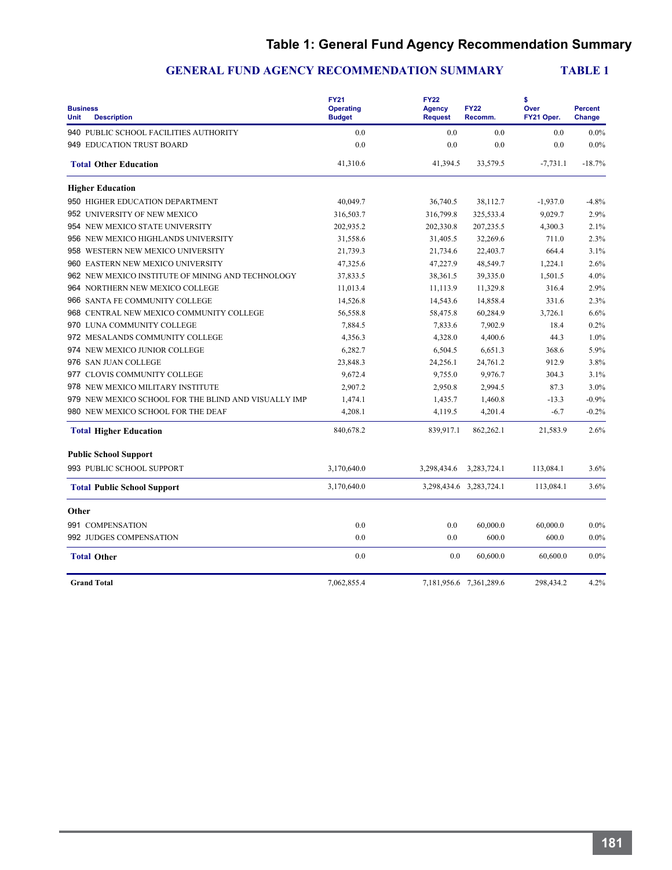# **Table 1: General Fund Agency Recommendation Summary**

| <b>Business</b><br><b>Unit</b><br><b>Description</b> | <b>FY21</b><br><b>Operating</b><br><b>Budget</b> | <b>FY22</b><br><b>Agency</b><br><b>Request</b> | <b>FY22</b><br>Recomm.  | \$<br>Over<br>FY21 Oper. | <b>Percent</b><br>Change |
|------------------------------------------------------|--------------------------------------------------|------------------------------------------------|-------------------------|--------------------------|--------------------------|
| 940 PUBLIC SCHOOL FACILITIES AUTHORITY               | 0.0                                              | 0.0                                            | 0.0                     | 0.0                      | $0.0\%$                  |
| 949 EDUCATION TRUST BOARD                            | 0.0                                              | 0.0                                            | 0.0                     | 0.0                      | $0.0\%$                  |
| <b>Total Other Education</b>                         | 41,310.6                                         | 41,394.5                                       | 33,579.5                | $-7,731.1$               | $-18.7%$                 |
| <b>Higher Education</b>                              |                                                  |                                                |                         |                          |                          |
| 950 HIGHER EDUCATION DEPARTMENT                      | 40,049.7                                         | 36,740.5                                       | 38,112.7                | $-1,937.0$               | $-4.8%$                  |
| 952 UNIVERSITY OF NEW MEXICO                         | 316,503.7                                        | 316,799.8                                      | 325,533.4               | 9,029.7                  | 2.9%                     |
| 954 NEW MEXICO STATE UNIVERSITY                      | 202,935.2                                        | 202,330.8                                      | 207,235.5               | 4,300.3                  | 2.1%                     |
| 956 NEW MEXICO HIGHLANDS UNIVERSITY                  | 31,558.6                                         | 31,405.5                                       | 32,269.6                | 711.0                    | 2.3%                     |
| 958 WESTERN NEW MEXICO UNIVERSITY                    | 21,739.3                                         | 21,734.6                                       | 22,403.7                | 664.4                    | 3.1%                     |
| 960 EASTERN NEW MEXICO UNIVERSITY                    | 47,325.6                                         | 47,227.9                                       | 48,549.7                | 1,224.1                  | 2.6%                     |
| 962 NEW MEXICO INSTITUTE OF MINING AND TECHNOLOGY    | 37,833.5                                         | 38,361.5                                       | 39,335.0                | 1,501.5                  | 4.0%                     |
| 964 NORTHERN NEW MEXICO COLLEGE                      | 11,013.4                                         | 11,113.9                                       | 11,329.8                | 316.4                    | 2.9%                     |
| 966 SANTA FE COMMUNITY COLLEGE                       | 14,526.8                                         | 14,543.6                                       | 14,858.4                | 331.6                    | 2.3%                     |
| 968 CENTRAL NEW MEXICO COMMUNITY COLLEGE             | 56,558.8                                         | 58,475.8                                       | 60,284.9                | 3,726.1                  | 6.6%                     |
| 970 LUNA COMMUNITY COLLEGE                           | 7,884.5                                          | 7,833.6                                        | 7,902.9                 | 18.4                     | 0.2%                     |
| 972 MESALANDS COMMUNITY COLLEGE                      | 4,356.3                                          | 4,328.0                                        | 4,400.6                 | 44.3                     | 1.0%                     |
| 974 NEW MEXICO JUNIOR COLLEGE                        | 6,282.7                                          | 6,504.5                                        | 6,651.3                 | 368.6                    | 5.9%                     |
| 976 SAN JUAN COLLEGE                                 | 23,848.3                                         | 24,256.1                                       | 24,761.2                | 912.9                    | 3.8%                     |
| 977 CLOVIS COMMUNITY COLLEGE                         | 9,672.4                                          | 9.755.0                                        | 9,976.7                 | 304.3                    | 3.1%                     |
| 978 NEW MEXICO MILITARY INSTITUTE                    | 2,907.2                                          | 2,950.8                                        | 2,994.5                 | 87.3                     | 3.0%                     |
| 979 NEW MEXICO SCHOOL FOR THE BLIND AND VISUALLY IMP | 1,474.1                                          | 1,435.7                                        | 1,460.8                 | $-13.3$                  | $-0.9%$                  |
| 980 NEW MEXICO SCHOOL FOR THE DEAF                   | 4,208.1                                          | 4,119.5                                        | 4,201.4                 | $-6.7$                   | $-0.2%$                  |
| <b>Total Higher Education</b>                        | 840,678.2                                        | 839,917.1                                      | 862,262.1               | 21,583.9                 | 2.6%                     |
| <b>Public School Support</b>                         |                                                  |                                                |                         |                          |                          |
| 993 PUBLIC SCHOOL SUPPORT                            | 3,170,640.0                                      | 3,298,434.6                                    | 3,283,724.1             | 113,084.1                | 3.6%                     |
| <b>Total Public School Support</b>                   | 3,170,640.0                                      |                                                | 3,298,434.6 3,283,724.1 | 113,084.1                | 3.6%                     |
| Other                                                |                                                  |                                                |                         |                          |                          |
| 991 COMPENSATION                                     | 0.0                                              | 0.0                                            | 60,000.0                | 60,000.0                 | $0.0\%$                  |
| 992 JUDGES COMPENSATION                              | 0.0                                              | 0.0                                            | 600.0                   | 600.0                    | $0.0\%$                  |
| <b>Total Other</b>                                   | 0.0                                              | 0.0                                            | 60,600.0                | 60,600.0                 | $0.0\%$                  |
| <b>Grand Total</b>                                   | 7,062,855.4                                      |                                                | 7,181,956.6 7,361,289.6 | 298,434.2                | 4.2%                     |